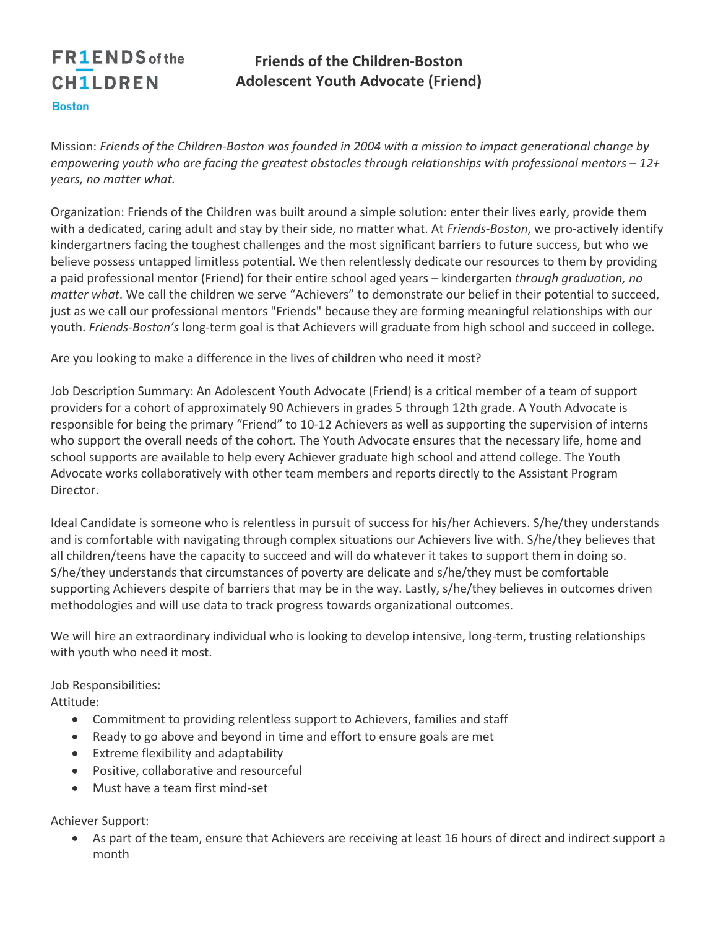## **FR1ENDS** of the **CH1LDREN Boston**

## **Friends of the Children-Boston Adolescent Youth Advocate (Friend)**

Mission: *Friends of the Children-Boston was founded in 2004 with a mission to impact generational change by empowering youth who are facing the greatest obstacles through relationships with professional mentors – 12+ years, no matter what.*

Organization: Friends of the Children was built around a simple solution: enter their lives early, provide them with a dedicated, caring adult and stay by their side, no matter what. At *Friends-Boston*, we pro-actively identify kindergartners facing the toughest challenges and the most significant barriers to future success, but who we believe possess untapped limitless potential. We then relentlessly dedicate our resources to them by providing a paid professional mentor (Friend) for their entire school aged years – kindergarten *through graduation, no matter what*. We call the children we serve "Achievers" to demonstrate our belief in their potential to succeed, just as we call our professional mentors "Friends" because they are forming meaningful relationships with our youth. *Friends-Boston's* long-term goal is that Achievers will graduate from high school and succeed in college.

Are you looking to make a difference in the lives of children who need it most?

Job Description Summary: An Adolescent Youth Advocate (Friend) is a critical member of a team of support providers for a cohort of approximately 90 Achievers in grades 5 through 12th grade. A Youth Advocate is responsible for being the primary "Friend" to 10-12 Achievers as well as supporting the supervision of interns who support the overall needs of the cohort. The Youth Advocate ensures that the necessary life, home and school supports are available to help every Achiever graduate high school and attend college. The Youth Advocate works collaboratively with other team members and reports directly to the Assistant Program Director.

Ideal Candidate is someone who is relentless in pursuit of success for his/her Achievers. S/he/they understands and is comfortable with navigating through complex situations our Achievers live with. S/he/they believes that all children/teens have the capacity to succeed and will do whatever it takes to support them in doing so. S/he/they understands that circumstances of poverty are delicate and s/he/they must be comfortable supporting Achievers despite of barriers that may be in the way. Lastly, s/he/they believes in outcomes driven methodologies and will use data to track progress towards organizational outcomes.

We will hire an extraordinary individual who is looking to develop intensive, long-term, trusting relationships with youth who need it most.

Job Responsibilities:

Attitude:

- Commitment to providing relentless support to Achievers, families and staff
- Ready to go above and beyond in time and effort to ensure goals are met
- Extreme flexibility and adaptability
- Positive, collaborative and resourceful
- Must have a team first mind-set

Achiever Support:

• As part of the team, ensure that Achievers are receiving at least 16 hours of direct and indirect support a month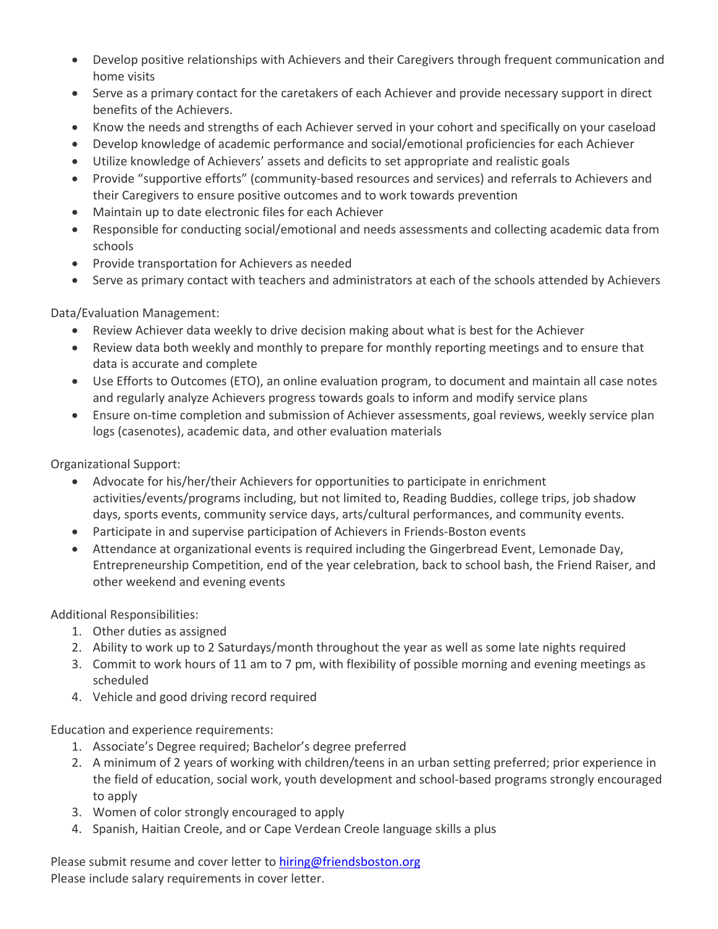- Develop positive relationships with Achievers and their Caregivers through frequent communication and home visits
- Serve as a primary contact for the caretakers of each Achiever and provide necessary support in direct benefits of the Achievers.
- Know the needs and strengths of each Achiever served in your cohort and specifically on your caseload
- Develop knowledge of academic performance and social/emotional proficiencies for each Achiever
- Utilize knowledge of Achievers' assets and deficits to set appropriate and realistic goals
- Provide "supportive efforts" (community-based resources and services) and referrals to Achievers and their Caregivers to ensure positive outcomes and to work towards prevention
- Maintain up to date electronic files for each Achiever
- Responsible for conducting social/emotional and needs assessments and collecting academic data from schools
- Provide transportation for Achievers as needed
- Serve as primary contact with teachers and administrators at each of the schools attended by Achievers

Data/Evaluation Management:

- Review Achiever data weekly to drive decision making about what is best for the Achiever
- Review data both weekly and monthly to prepare for monthly reporting meetings and to ensure that data is accurate and complete
- Use Efforts to Outcomes (ETO), an online evaluation program, to document and maintain all case notes and regularly analyze Achievers progress towards goals to inform and modify service plans
- Ensure on-time completion and submission of Achiever assessments, goal reviews, weekly service plan logs (casenotes), academic data, and other evaluation materials

Organizational Support:

- Advocate for his/her/their Achievers for opportunities to participate in enrichment activities/events/programs including, but not limited to, Reading Buddies, college trips, job shadow days, sports events, community service days, arts/cultural performances, and community events.
- Participate in and supervise participation of Achievers in Friends-Boston events
- Attendance at organizational events is required including the Gingerbread Event, Lemonade Day, Entrepreneurship Competition, end of the year celebration, back to school bash, the Friend Raiser, and other weekend and evening events

Additional Responsibilities:

- 1. Other duties as assigned
- 2. Ability to work up to 2 Saturdays/month throughout the year as well as some late nights required
- 3. Commit to work hours of 11 am to 7 pm, with flexibility of possible morning and evening meetings as scheduled
- 4. Vehicle and good driving record required

Education and experience requirements:

- 1. Associate's Degree required; Bachelor's degree preferred
- 2. A minimum of 2 years of working with children/teens in an urban setting preferred; prior experience in the field of education, social work, youth development and school-based programs strongly encouraged to apply
- 3. Women of color strongly encouraged to apply
- 4. Spanish, Haitian Creole, and or Cape Verdean Creole language skills a plus

Please submit resume and cover letter to hiring@friendsboston.org Please include salary requirements in cover letter.